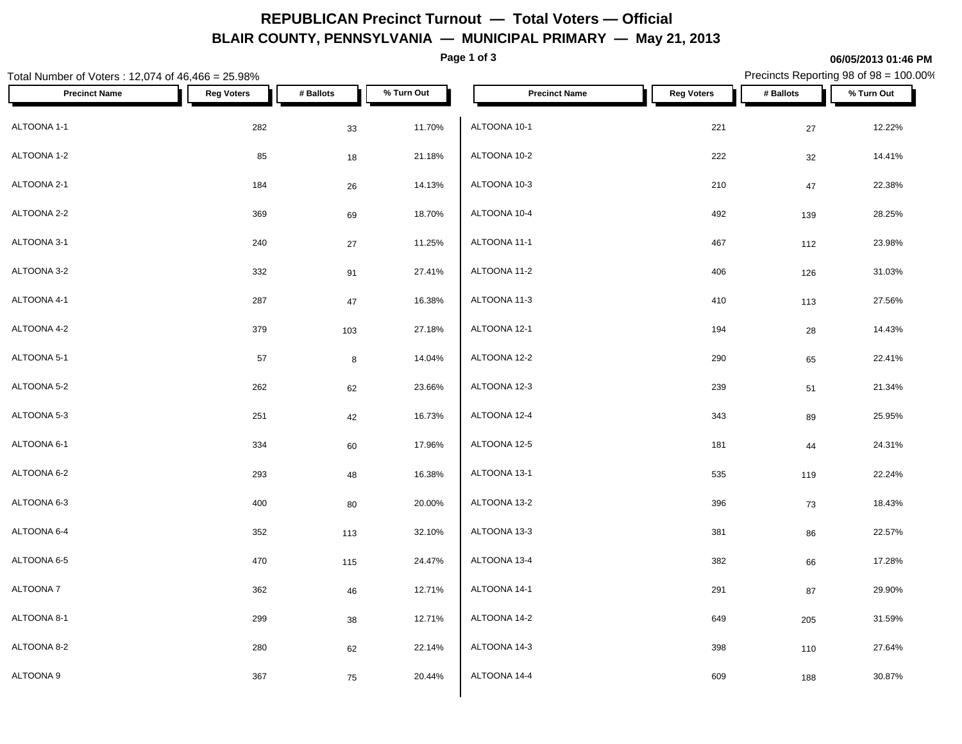## **REPUBLICAN Precinct Turnout — Total Voters — Official BLAIR COUNTY, PENNSYLVANIA — MUNICIPAL PRIMARY — May 21, 2013**

**Page 1 of 3**

**06/05/2013 01:46 PM**

#### Total Number of Voters : 12,074 of 46,466 = 25.98% Precincts Reporting 98 of 98 = 100.00% **Precinct Name Reg Voters # Ballots % Turn Out Precinct Name Reg Voters # Ballots % Turn Out** ALTOONA 1-1 282 33 11.70% ALTOONA 1-2  $\begin{array}{ccc} 85 & 18 & 21.18\%\\ \end{array}$  ALTOONA 10-2 ALTOONA 2-1 184 26 14.13% ALTOONA 2-2  $369$   $69$   $18.70\%$   $ALT$   $ALT$   $ADT$ ALTOONA 3-1 240 27 11.25% ALTOONA 3-2 332 91 27.41% ALTOONA 4-1 287 47 16.38% ALTOONA 4-2 379 103 27.18% ALTOONA 5-1 57 8 14.04% ALTOONA 5-2 23.66% | ALTOONA 12-3 ALTOONA 5-3 251 42 16.73% ALTOONA 6-1 334 60 17.96% ALTOONA 6-2 293 48 16.38% ALTOONA 6-3 400 80 20.00% ALTOONA 6-4 352 113 32.10% ALTOONA 6-5 470 115 24.47% ALTOONA 7 362 46 12.71% ALTOONA 8-1 299 38 12.71% ALTOONA 8-2 280 62 22.14% ALTOONA 9 367 75 20.44% ALTOONA 10-1 221 27 12.22% ALTOONA 10-2 222 32 14.41% ALTOONA 10-3 210 47 22.38% ALTOONA 10-4 492 139 28.25% ALTOONA 11-1 467 112 23.98% ALTOONA 11-2 406 126 31.03% ALTOONA 11-3 27.56% ALTOONA 12-1 194 28 14.43% ALTOONA 12-2 290 65 22.41% ALTOONA 12-3 239 51 21.34% ALTOONA 12-4 343 89 25.95% ALTOONA 12-5 181 24.31% ALTOONA 13-1 535 119 22.24% ALTOONA 13-2 396 73 18.43%  $\rm ALTOONA\,\,13-3$   $\rm 381$   $\rm 86$   $\rm 22.57\%$ ALTOONA 13-4 382 66 17.28% ALTOONA 14-1 291 87 29.90% ALTOONA 14-2 649 205 31.59% ALTOONA 14-3 398 110 27.64% ALTOONA 14-4 609 188 30.87%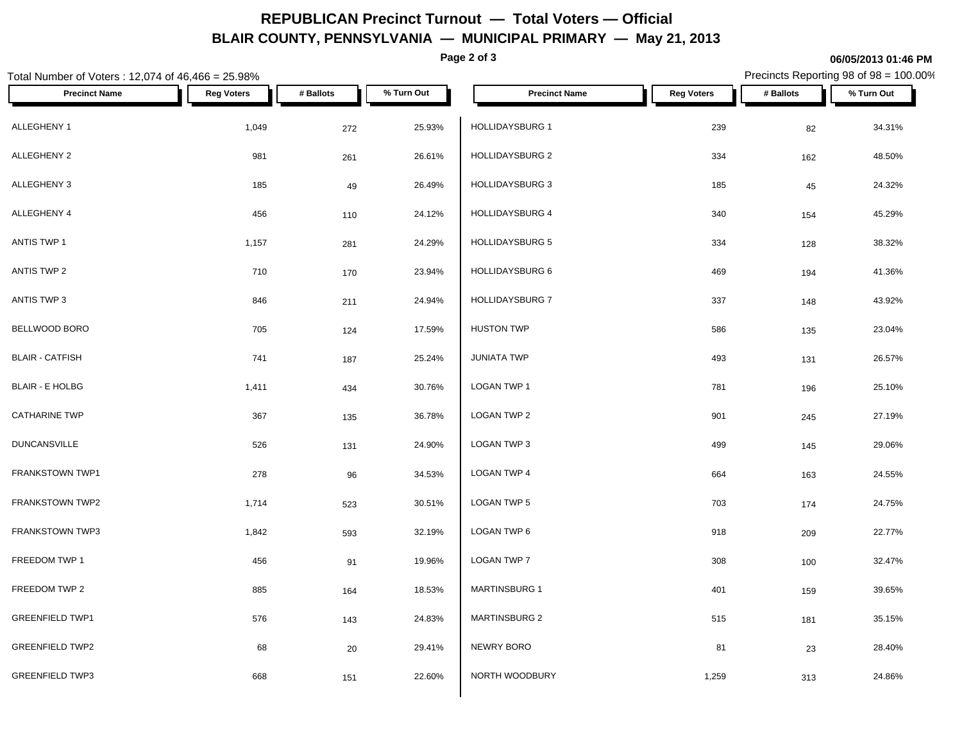# **REPUBLICAN Precinct Turnout — Total Voters — Official BLAIR COUNTY, PENNSYLVANIA — MUNICIPAL PRIMARY — May 21, 2013**

**Page 2 of 3**

### **06/05/2013 01:46 PM**

Precincts Reporting 98 of 98 = 100.00%

| Total Number of Voters: 12,074 of 46,466 = 25.98% |                   |           |            |                        |                   | Precincts Reporting 98 of 98 = 100.00% |            |
|---------------------------------------------------|-------------------|-----------|------------|------------------------|-------------------|----------------------------------------|------------|
| <b>Precinct Name</b>                              | <b>Reg Voters</b> | # Ballots | % Turn Out | <b>Precinct Name</b>   | <b>Reg Voters</b> | # Ballots                              | % Turn Out |
| ALLEGHENY 1                                       | 1,049             | 272       | 25.93%     | HOLLIDAYSBURG 1        | 239               | 82                                     | 34.31%     |
| ALLEGHENY 2                                       | 981               | 261       | 26.61%     | <b>HOLLIDAYSBURG 2</b> | 334               | 162                                    | 48.50%     |
| ALLEGHENY 3                                       | 185               | 49        | 26.49%     | <b>HOLLIDAYSBURG 3</b> | 185               | 45                                     | 24.32%     |
| ALLEGHENY 4                                       | 456               | 110       | 24.12%     | HOLLIDAYSBURG 4        | 340               | 154                                    | 45.29%     |
| ANTIS TWP 1                                       | 1,157             | 281       | 24.29%     | HOLLIDAYSBURG 5        | 334               | 128                                    | 38.32%     |
| ANTIS TWP 2                                       | 710               | 170       | 23.94%     | HOLLIDAYSBURG 6        | 469               | 194                                    | 41.36%     |
| ANTIS TWP 3                                       | 846               | 211       | 24.94%     | HOLLIDAYSBURG 7        | 337               | 148                                    | 43.92%     |
| BELLWOOD BORO                                     | 705               | 124       | 17.59%     | <b>HUSTON TWP</b>      | 586               | 135                                    | 23.04%     |
| <b>BLAIR - CATFISH</b>                            | 741               | 187       | 25.24%     | <b>JUNIATA TWP</b>     | 493               | 131                                    | 26.57%     |
| <b>BLAIR - E HOLBG</b>                            | 1,411             | 434       | 30.76%     | LOGAN TWP 1            | 781               | 196                                    | 25.10%     |
| <b>CATHARINE TWP</b>                              | 367               | 135       | 36.78%     | LOGAN TWP 2            | 901               | 245                                    | 27.19%     |
| <b>DUNCANSVILLE</b>                               | 526               | 131       | 24.90%     | LOGAN TWP 3            | 499               | 145                                    | 29.06%     |
| FRANKSTOWN TWP1                                   | 278               | 96        | 34.53%     | <b>LOGAN TWP 4</b>     | 664               | 163                                    | 24.55%     |
| FRANKSTOWN TWP2                                   | 1,714             | 523       | 30.51%     | LOGAN TWP 5            | 703               | 174                                    | 24.75%     |
| <b>FRANKSTOWN TWP3</b>                            | 1,842             | 593       | 32.19%     | LOGAN TWP 6            | 918               | 209                                    | 22.77%     |
| FREEDOM TWP 1                                     | 456               | 91        | 19.96%     | LOGAN TWP 7            | 308               | 100                                    | 32.47%     |
| FREEDOM TWP 2                                     | 885               | 164       | 18.53%     | MARTINSBURG 1          | 401               | 159                                    | 39.65%     |
| <b>GREENFIELD TWP1</b>                            | 576               | 143       | 24.83%     | <b>MARTINSBURG 2</b>   | 515               | 181                                    | 35.15%     |
| <b>GREENFIELD TWP2</b>                            | 68                | 20        | 29.41%     | NEWRY BORO             | 81                | 23                                     | 28.40%     |
| <b>GREENFIELD TWP3</b>                            | 668               | 151       | 22.60%     | NORTH WOODBURY         | 1,259             | 313                                    | 24.86%     |
|                                                   |                   |           |            |                        |                   |                                        |            |